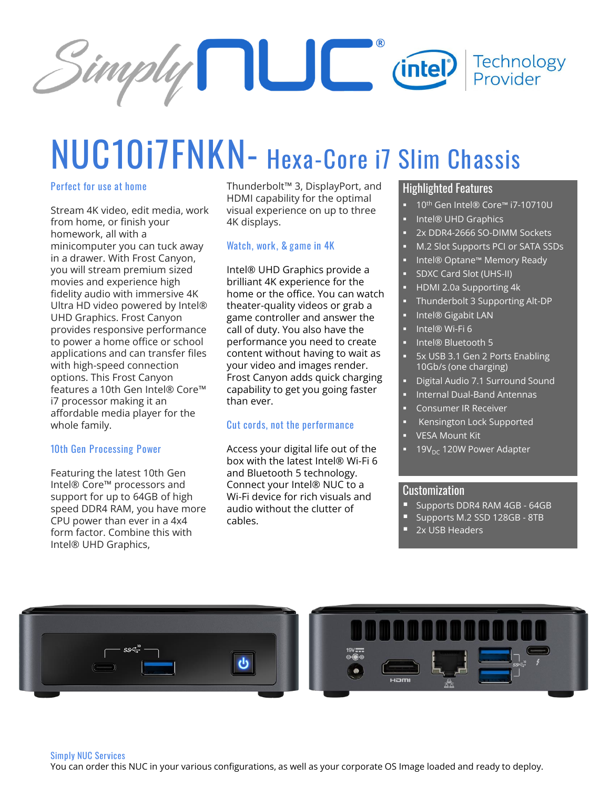

# **NUC10i7FNKN- Hexa-Core i7 Slim Chassis**

#### **Perfect for use at home**

Stream 4K video, edit media, work from home, or finish your homework, all with a minicomputer you can tuck away in a drawer. With Frost Canyon, you will stream premium sized movies and experience high fidelity audio with immersive 4K Ultra HD video powered by Intel® UHD Graphics. Frost Canyon provides responsive performance to power a home office or school applications and can transfer files with high-speed connection options. This Frost Canyon features a 10th Gen Intel® Core™ i7 processor making it an affordable media player for the whole family.

#### **10th Gen Processing Power**

Featuring the latest 10th Gen Intel® Core™ processors and support for up to 64GB of high speed DDR4 RAM, you have more CPU power than ever in a 4x4 form factor. Combine this with Intel® UHD Graphics,

Thunderbolt™ 3, DisplayPort, and HDMI capability for the optimal visual experience on up to three 4K displays.

#### **Watch, work, & game in 4K**

Intel® UHD Graphics provide a brilliant 4K experience for the home or the office. You can watch theater-quality videos or grab a game controller and answer the call of duty. You also have the performance you need to create content without having to wait as your video and images render. Frost Canyon adds quick charging capability to get you going faster than ever.

#### **Cut cords, not the performance**

Access your digital life out of the box with the latest Intel® Wi-Fi 6 and Bluetooth 5 technology. Connect your Intel® NUC to a Wi-Fi device for rich visuals and audio without the clutter of cables.

### Highlighted Features

- 10<sup>th</sup> Gen Intel® Core™ i7-10710U
- Intel® UHD Graphics
- 2x DDR4-2666 SO-DIMM Sockets
- M.2 Slot Supports PCI or SATA SSDs
- Intel® Optane™ Memory Ready
- **SDXC Card Slot (UHS-II)**
- HDMI 2.0a Supporting 4k
- Thunderbolt 3 Supporting Alt-DP
- Intel® Gigabit LAN
- Intel® Wi-Fi 6
- Intel® Bluetooth 5
- 5x USB 3.1 Gen 2 Ports Enabling 10Gb/s (one charging)
- Digital Audio 7.1 Surround Sound
- **Internal Dual-Band Antennas**
- Consumer IR Receiver
- **Kensington Lock Supported**
- **VESA Mount Kit**
- $19V_{\text{DC}}$  120W Power Adapter

#### Customization

- **E** Supports DDR4 RAM 4GB 64GB
- Supports M.2 SSD 128GB 8TB
- 2x USB Headers



#### **Simply NUC Services**

You can order this NUC in your various configurations, as well as your corporate OS Image loaded and ready to deploy.